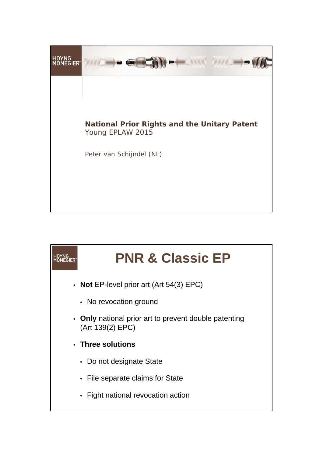

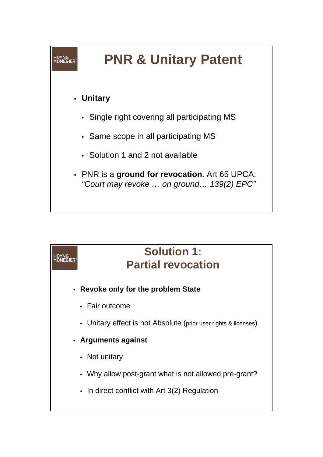